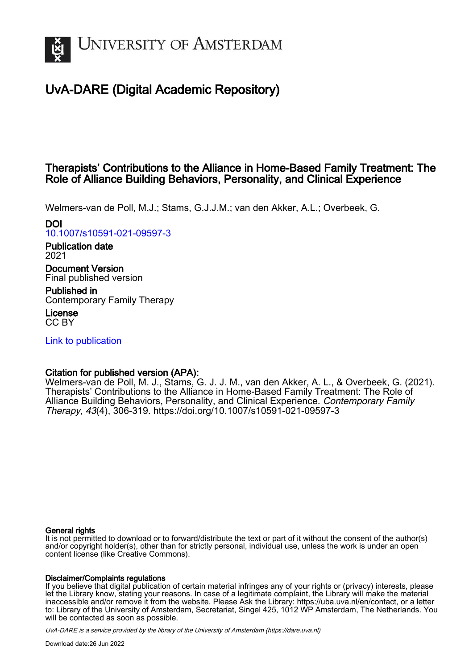

# UvA-DARE (Digital Academic Repository)

## Therapists' Contributions to the Alliance in Home-Based Family Treatment: The Role of Alliance Building Behaviors, Personality, and Clinical Experience

Welmers-van de Poll, M.J.; Stams, G.J.J.M.; van den Akker, A.L.; Overbeek, G.

## DOI

[10.1007/s10591-021-09597-3](https://doi.org/10.1007/s10591-021-09597-3)

Publication date 2021

Document Version Final published version

Published in Contemporary Family Therapy

License CC BY

[Link to publication](https://dare.uva.nl/personal/pure/en/publications/therapists-contributions-to-the-alliance-in-homebased-family-treatment-the-role-of-alliance-building-behaviors-personality-and-clinical-experience(0ce149ff-4fe6-4aa2-8f7e-7535bce45681).html)

## Citation for published version (APA):

Welmers-van de Poll, M. J., Stams, G. J. J. M., van den Akker, A. L., & Overbeek, G. (2021). Therapists' Contributions to the Alliance in Home-Based Family Treatment: The Role of Alliance Building Behaviors, Personality, and Clinical Experience. Contemporary Family Therapy, 43(4), 306-319. <https://doi.org/10.1007/s10591-021-09597-3>

## General rights

It is not permitted to download or to forward/distribute the text or part of it without the consent of the author(s) and/or copyright holder(s), other than for strictly personal, individual use, unless the work is under an open content license (like Creative Commons).

## Disclaimer/Complaints regulations

If you believe that digital publication of certain material infringes any of your rights or (privacy) interests, please let the Library know, stating your reasons. In case of a legitimate complaint, the Library will make the material inaccessible and/or remove it from the website. Please Ask the Library: https://uba.uva.nl/en/contact, or a letter to: Library of the University of Amsterdam, Secretariat, Singel 425, 1012 WP Amsterdam, The Netherlands. You will be contacted as soon as possible.

UvA-DARE is a service provided by the library of the University of Amsterdam (http*s*://dare.uva.nl)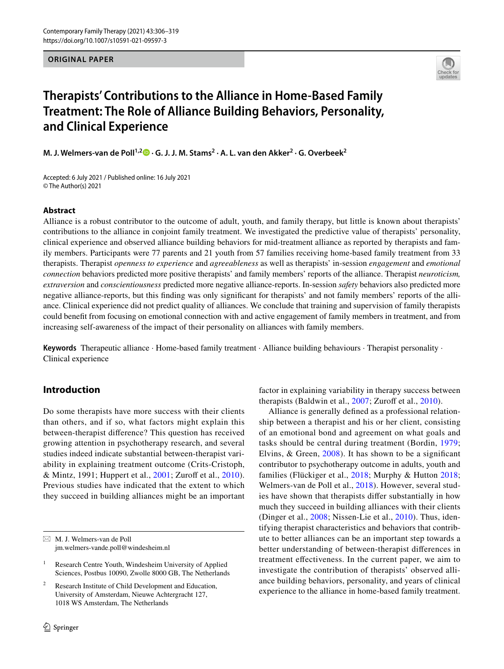**ORIGINAL PAPER**



# **Therapists' Contributions to the Alliance in Home‑Based Family Treatment: The Role of Alliance Building Behaviors, Personality, and Clinical Experience**

**M. J. Welmers‑van de Poll1,2 · G. J. J. M. Stams2 · A. L. van den Akker2 · G. Overbeek2**

Accepted: 6 July 2021 / Published online: 16 July 2021 © The Author(s) 2021

## **Abstract**

Alliance is a robust contributor to the outcome of adult, youth, and family therapy, but little is known about therapists' contributions to the alliance in conjoint family treatment. We investigated the predictive value of therapists' personality, clinical experience and observed alliance building behaviors for mid-treatment alliance as reported by therapists and family members. Participants were 77 parents and 21 youth from 57 families receiving home-based family treatment from 33 therapists. Therapist *openness to experience* and *agreeableness* as well as therapists' in-session *engagement* and *emotional connection* behaviors predicted more positive therapists' and family members' reports of the alliance. Therapist *neuroticism, extraversion* and *conscientiousness* predicted more negative alliance-reports. In-session *safety* behaviors also predicted more negative alliance-reports, but this fnding was only signifcant for therapists' and not family members' reports of the alliance. Clinical experience did not predict quality of alliances. We conclude that training and supervision of family therapists could beneft from focusing on emotional connection with and active engagement of family members in treatment, and from increasing self-awareness of the impact of their personality on alliances with family members.

**Keywords** Therapeutic alliance · Home-based family treatment · Alliance building behaviours · Therapist personality · Clinical experience

## **Introduction**

Do some therapists have more success with their clients than others, and if so, what factors might explain this between-therapist diference? This question has received growing attention in psychotherapy research, and several studies indeed indicate substantial between-therapist variability in explaining treatment outcome (Crits-Cristoph, & Mintz, 1991; Huppert et al., [2001;](#page-13-0) Zuroff et al., [2010](#page-14-0)). Previous studies have indicated that the extent to which they succeed in building alliances might be an important factor in explaining variability in therapy success between therapists (Baldwin et al.,  $2007$ ; Zuroff et al.,  $2010$ ).

Alliance is generally defned as a professional relationship between a therapist and his or her client, consisting of an emotional bond and agreement on what goals and tasks should be central during treatment (Bordin, [1979](#page-12-1); Elvins,  $&$  Green,  $2008$ ). It has shown to be a significant contributor to psychotherapy outcome in adults, youth and families (Flückiger et al., [2018;](#page-13-2) Murphy & Hutton [2018](#page-14-1); Welmers-van de Poll et al., [2018](#page-14-2)). However, several studies have shown that therapists difer substantially in how much they succeed in building alliances with their clients (Dinger et al., [2008;](#page-13-3) Nissen-Lie et al., [2010](#page-14-3)). Thus, identifying therapist characteristics and behaviors that contribute to better alliances can be an important step towards a better understanding of between-therapist diferences in treatment efectiveness. In the current paper, we aim to investigate the contribution of therapists' observed alliance building behaviors, personality, and years of clinical experience to the alliance in home-based family treatment.

 $\boxtimes$  M. J. Welmers-van de Poll jm.welmers-vande.poll@windesheim.nl

<sup>&</sup>lt;sup>1</sup> Research Centre Youth, Windesheim University of Applied Sciences, Postbus 10090, Zwolle 8000 GB, The Netherlands

Research Institute of Child Development and Education, University of Amsterdam, Nieuwe Achtergracht 127, 1018 WS Amsterdam, The Netherlands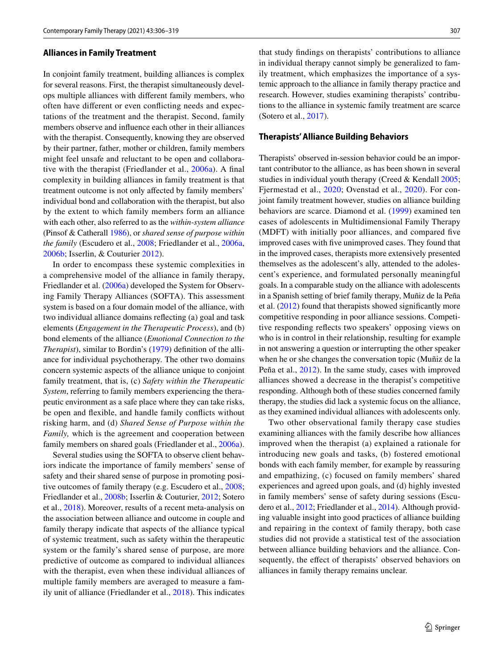#### **Alliances in Family Treatment**

In conjoint family treatment, building alliances is complex for several reasons. First, the therapist simultaneously develops multiple alliances with diferent family members, who often have diferent or even conficting needs and expectations of the treatment and the therapist. Second, family members observe and infuence each other in their alliances with the therapist. Consequently, knowing they are observed by their partner, father, mother or children, family members might feel unsafe and reluctant to be open and collaborative with the therapist (Friedlander et al., [2006a](#page-13-4)). A fnal complexity in building alliances in family treatment is that treatment outcome is not only afected by family members' individual bond and collaboration with the therapist, but also by the extent to which family members form an alliance with each other, also referred to as the *within-system alliance* (Pinsof & Catherall [1986\)](#page-14-4), or *shared sense of purpose within the family* (Escudero et al., [2008](#page-13-5); Friedlander et al., [2006a,](#page-13-4) [2006b](#page-13-6); Isserlin, & Couturier [2012](#page-13-7)).

In order to encompass these systemic complexities in a comprehensive model of the alliance in family therapy, Friedlander et al. [\(2006a\)](#page-13-4) developed the System for Observing Family Therapy Alliances (SOFTA). This assessment system is based on a four domain model of the alliance, with two individual alliance domains refecting (a) goal and task elements (*Engagement in the Therapeutic Process*), and (b) bond elements of the alliance (*Emotional Connection to the Therapist*), similar to Bordin's [\(1979\)](#page-12-1) defnition of the alliance for individual psychotherapy. The other two domains concern systemic aspects of the alliance unique to conjoint family treatment, that is, (c) *Safety within the Therapeutic System*, referring to family members experiencing the therapeutic environment as a safe place where they can take risks, be open and fexible, and handle family conficts without risking harm, and (d) *Shared Sense of Purpose within the Family,* which is the agreement and cooperation between family members on shared goals (Friedlander et al., [2006a](#page-13-4)).

Several studies using the SOFTA to observe client behaviors indicate the importance of family members' sense of safety and their shared sense of purpose in promoting positive outcomes of family therapy (e.g. Escudero et al., [2008](#page-13-8); Friedlander et al., [2008b](#page-13-9); Isserlin & Couturier, [2012](#page-13-10); Sotero et al., [2018\)](#page-14-5). Moreover, results of a recent meta-analysis on the association between alliance and outcome in couple and family therapy indicate that aspects of the alliance typical of systemic treatment, such as safety within the therapeutic system or the family's shared sense of purpose, are more predictive of outcome as compared to individual alliances with the therapist, even when these individual alliances of multiple family members are averaged to measure a family unit of alliance (Friedlander et al., [2018](#page-13-6)). This indicates

that study fndings on therapists' contributions to alliance in individual therapy cannot simply be generalized to family treatment, which emphasizes the importance of a systemic approach to the alliance in family therapy practice and research. However, studies examining therapists' contributions to the alliance in systemic family treatment are scarce (Sotero et al., [2017\)](#page-14-6).

#### **Therapists' Alliance Building Behaviors**

Therapists' observed in-session behavior could be an important contributor to the alliance, as has been shown in several studies in individual youth therapy (Creed & Kendall [2005](#page-12-2); Fjermestad et al., [2020](#page-13-11); Ovenstad et al., [2020](#page-14-7)). For conjoint family treatment however, studies on alliance building behaviors are scarce. Diamond et al. ([1999](#page-13-12)) examined ten cases of adolescents in Multidimensional Family Therapy (MDFT) with initially poor alliances, and compared fve improved cases with fve unimproved cases. They found that in the improved cases, therapists more extensively presented themselves as the adolescent's ally, attended to the adolescent's experience, and formulated personally meaningful goals. In a comparable study on the alliance with adolescents in a Spanish setting of brief family therapy, Muñiz de la Peña et al. ([2012\)](#page-13-13) found that therapists showed signifcantly more competitive responding in poor alliance sessions. Competitive responding refects two speakers' opposing views on who is in control in their relationship, resulting for example in not answering a question or interrupting the other speaker when he or she changes the conversation topic (Muñiz de la Peña et al., [2012](#page-13-13)). In the same study, cases with improved alliances showed a decrease in the therapist's competitive responding. Although both of these studies concerned family therapy, the studies did lack a systemic focus on the alliance, as they examined individual alliances with adolescents only.

Two other observational family therapy case studies examining alliances with the family describe how alliances improved when the therapist (a) explained a rationale for introducing new goals and tasks, (b) fostered emotional bonds with each family member, for example by reassuring and empathizing, (c) focused on family members' shared experiences and agreed upon goals, and (d) highly invested in family members' sense of safety during sessions (Escudero et al., [2012;](#page-13-14) Friedlander et al., [2014\)](#page-13-15). Although providing valuable insight into good practices of alliance building and repairing in the context of family therapy, both case studies did not provide a statistical test of the association between alliance building behaviors and the alliance. Consequently, the effect of therapists' observed behaviors on alliances in family therapy remains unclear.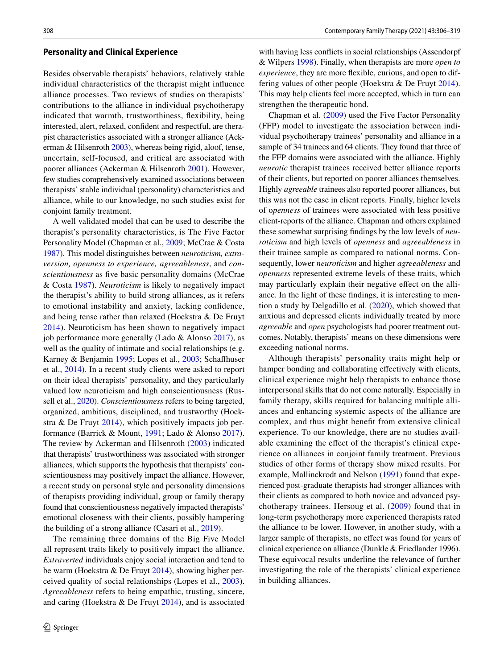#### **Personality and Clinical Experience**

Besides observable therapists' behaviors, relatively stable individual characteristics of the therapist might infuence alliance processes. Two reviews of studies on therapists' contributions to the alliance in individual psychotherapy indicated that warmth, trustworthiness, fexibility, being interested, alert, relaxed, confdent and respectful, are therapist characteristics associated with a stronger alliance (Ackerman & Hilsenroth [2003\)](#page-12-3), whereas being rigid, aloof, tense, uncertain, self-focused, and critical are associated with poorer alliances (Ackerman & Hilsenroth [2001](#page-12-4)). However, few studies comprehensively examined associations between therapists' stable individual (personality) characteristics and alliance, while to our knowledge, no such studies exist for conjoint family treatment.

A well validated model that can be used to describe the therapist's personality characteristics, is The Five Factor Personality Model (Chapman et al., [2009](#page-12-5); McCrae & Costa [1987\)](#page-13-16). This model distinguishes between *neuroticism, extraversion, openness to experience, agreeableness*, and *conscientiousness* as fve basic personality domains (McCrae & Costa [1987](#page-13-16)). *Neuroticism* is likely to negatively impact the therapist's ability to build strong alliances, as it refers to emotional instability and anxiety, lacking confdence, and being tense rather than relaxed (Hoekstra & De Fruyt [2014\)](#page-13-17). Neuroticism has been shown to negatively impact job performance more generally (Lado & Alonso [2017](#page-13-18)), as well as the quality of intimate and social relationships (e.g. Karney & Benjamin [1995;](#page-13-19) Lopes et al., [2003;](#page-13-20) Schafhuser et al., [2014\)](#page-14-6). In a recent study clients were asked to report on their ideal therapists' personality, and they particularly valued low neuroticism and high conscientiousness (Russell et al., [2020](#page-14-8)). *Conscientiousness* refers to being targeted, organized, ambitious, disciplined, and trustworthy (Hoekstra  $\&$  De Fruyt [2014](#page-13-17)), which positively impacts job performance (Barrick & Mount, [1991](#page-12-6); Lado & Alonso [2017](#page-13-18)). The review by Ackerman and Hilsenroth ([2003](#page-12-3)) indicated that therapists' trustworthiness was associated with stronger alliances, which supports the hypothesis that therapists' conscientiousness may positively impact the alliance. However, a recent study on personal style and personality dimensions of therapists providing individual, group or family therapy found that conscientiousness negatively impacted therapists' emotional closeness with their clients, possibly hampering the building of a strong alliance (Casari et al., [2019\)](#page-12-7).

The remaining three domains of the Big Five Model all represent traits likely to positively impact the alliance. *Extraverted* individuals enjoy social interaction and tend to be warm (Hoekstra & De Fruyt [2014\)](#page-13-17), showing higher perceived quality of social relationships (Lopes et al., [2003](#page-13-20)). *Agreeableness* refers to being empathic, trusting, sincere, and caring (Hoekstra & De Fruyt [2014](#page-13-17)), and is associated

with having less conficts in social relationships (Assendorpf & Wilpers [1998\)](#page-12-8). Finally, when therapists are more *open to experience*, they are more fexible, curious, and open to differing values of other people (Hoekstra & De Fruyt [2014](#page-13-17)). This may help clients feel more accepted, which in turn can strengthen the therapeutic bond.

Chapman et al. ([2009\)](#page-12-5) used the Five Factor Personality (FFP) model to investigate the association between individual psychotherapy trainees' personality and alliance in a sample of 34 trainees and 64 clients. They found that three of the FFP domains were associated with the alliance. Highly *neurotic* therapist trainees received better alliance reports of their clients, but reported on poorer alliances themselves. Highly *agreeable* trainees also reported poorer alliances, but this was not the case in client reports. Finally, higher levels of o*penness* of trainees were associated with less positive client-reports of the alliance. Chapman and others explained these somewhat surprising fndings by the low levels of *neuroticism* and high levels of *openness* and *agreeableness* in their trainee sample as compared to national norms. Consequently, lower *neuroticism* and higher *agreeableness* and *openness* represented extreme levels of these traits, which may particularly explain their negative efect on the alliance. In the light of these fndings, it is interesting to mention a study by Delgadillo et al. ([2020](#page-12-9)), which showed that anxious and depressed clients individually treated by more *agreeable* and *open* psychologists had poorer treatment outcomes. Notably, therapists' means on these dimensions were exceeding national norms.

Although therapists' personality traits might help or hamper bonding and collaborating effectively with clients, clinical experience might help therapists to enhance those interpersonal skills that do not come naturally. Especially in family therapy, skills required for balancing multiple alliances and enhancing systemic aspects of the alliance are complex, and thus might beneft from extensive clinical experience. To our knowledge, there are no studies available examining the efect of the therapist's clinical experience on alliances in conjoint family treatment. Previous studies of other forms of therapy show mixed results. For example, Mallinckrodt and Nelson [\(1991](#page-13-21)) found that experienced post-graduate therapists had stronger alliances with their clients as compared to both novice and advanced psychotherapy trainees. Hersoug et al. ([2009\)](#page-13-22) found that in long-term psychotherapy more experienced therapists rated the alliance to be lower. However, in another study, with a larger sample of therapists, no efect was found for years of clinical experience on alliance (Dunkle & Friedlander 1996). These equivocal results underline the relevance of further investigating the role of the therapists' clinical experience in building alliances.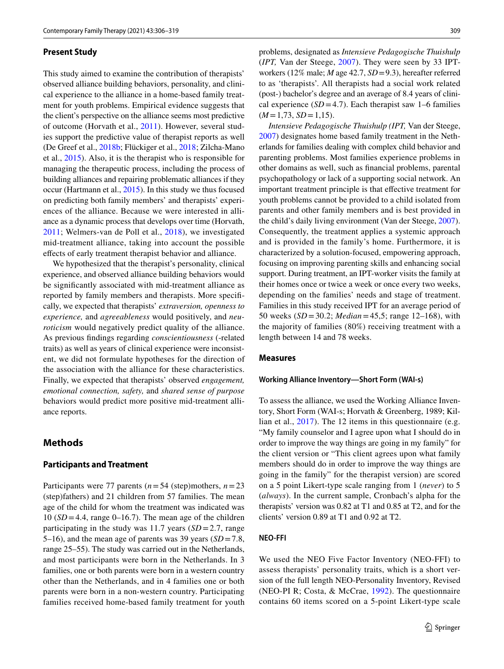## **Present Study**

This study aimed to examine the contribution of therapists' observed alliance building behaviors, personality, and clinical experience to the alliance in a home-based family treatment for youth problems. Empirical evidence suggests that the client's perspective on the alliance seems most predictive of outcome (Horvath et al., [2011\)](#page-13-10). However, several studies support the predictive value of therapist reports as well (De Greef et al., [2018b](#page-12-10); Flückiger et al., [2018;](#page-13-2) Zilcha-Mano et al., [2015](#page-14-9)). Also, it is the therapist who is responsible for managing the therapeutic process, including the process of building alliances and repairing problematic alliances if they occur (Hartmann et al., [2015\)](#page-13-23). In this study we thus focused on predicting both family members' and therapists' experiences of the alliance. Because we were interested in alliance as a dynamic process that develops over time (Horvath, [2011;](#page-13-10) Welmers-van de Poll et al., [2018\)](#page-14-2), we investigated mid-treatment alliance, taking into account the possible efects of early treatment therapist behavior and alliance.

We hypothesized that the therapist's personality, clinical experience, and observed alliance building behaviors would be signifcantly associated with mid-treatment alliance as reported by family members and therapists. More specifcally, we expected that therapists' *extraversion, openness to experience,* and *agreeableness* would positively, and *neuroticism* would negatively predict quality of the alliance. As previous fndings regarding *conscientiousness* (-related traits) as well as years of clinical experience were inconsistent, we did not formulate hypotheses for the direction of the association with the alliance for these characteristics. Finally, we expected that therapists' observed *engagement, emotional connection, safety,* and *shared sense of purpose* behaviors would predict more positive mid-treatment alliance reports.

### **Methods**

#### **Participants and Treatment**

Participants were 77 parents (*n*=54 (step)mothers, *n*=23 (step)fathers) and 21 children from 57 families. The mean age of the child for whom the treatment was indicated was 10  $(SD=4.4$ , range 0–16.7). The mean age of the children participating in the study was 11.7 years  $(SD = 2.7, \text{range})$ 5–16), and the mean age of parents was 39 years (*SD*=7.8, range 25–55). The study was carried out in the Netherlands, and most participants were born in the Netherlands. In 3 families, one or both parents were born in a western country other than the Netherlands, and in 4 families one or both parents were born in a non-western country. Participating families received home-based family treatment for youth problems, designated as *Intensieve Pedagogische Thuishulp* (*IPT,* Van der Steege, [2007\)](#page-14-10). They were seen by 33 IPTworkers (12% male; *M* age 42.7, *SD*=9.3), hereafter referred to as 'therapists'. All therapists had a social work related (post-) bachelor's degree and an average of 8.4 years of clinical experience  $(SD=4.7)$ . Each therapist saw 1–6 families  $(M=1,73, SD=1,15).$ 

*Intensieve Pedagogische Thuishulp (IPT,* Van der Steege, [2007](#page-14-10)) designates home based family treatment in the Netherlands for families dealing with complex child behavior and parenting problems. Most families experience problems in other domains as well, such as fnancial problems, parental psychopathology or lack of a supporting social network. An important treatment principle is that effective treatment for youth problems cannot be provided to a child isolated from parents and other family members and is best provided in the child's daily living environment (Van der Steege, [2007](#page-14-10)). Consequently, the treatment applies a systemic approach and is provided in the family's home. Furthermore, it is characterized by a solution-focused, empowering approach, focusing on improving parenting skills and enhancing social support. During treatment, an IPT-worker visits the family at their homes once or twice a week or once every two weeks, depending on the families' needs and stage of treatment. Families in this study received IPT for an average period of 50 weeks (*SD* =30.2; *Median*=45,5; range 12–168), with the majority of families (80%) receiving treatment with a length between 14 and 78 weeks.

#### **Measures**

#### **Working Alliance Inventory—Short Form (WAI‑s)**

To assess the alliance, we used the Working Alliance Inventory, Short Form (WAI-s; Horvath & Greenberg, 1989; Killian et al., [2017](#page-13-24)). The 12 items in this questionnaire (e.g. "My family counselor and I agree upon what I should do in order to improve the way things are going in my family" for the client version or "This client agrees upon what family members should do in order to improve the way things are going in the family" for the therapist version) are scored on a 5 point Likert-type scale ranging from 1 (*never*) to 5 (*always*). In the current sample, Cronbach's alpha for the therapists' version was 0.82 at T1 and 0.85 at T2, and for the clients' version 0.89 at T1 and 0.92 at T2.

#### **NEO‑FFI**

We used the NEO Five Factor Inventory (NEO-FFI) to assess therapists' personality traits, which is a short version of the full length NEO-Personality Inventory, Revised (NEO-PI R; Costa, & McCrae, [1992\)](#page-12-11). The questionnaire contains 60 items scored on a 5-point Likert-type scale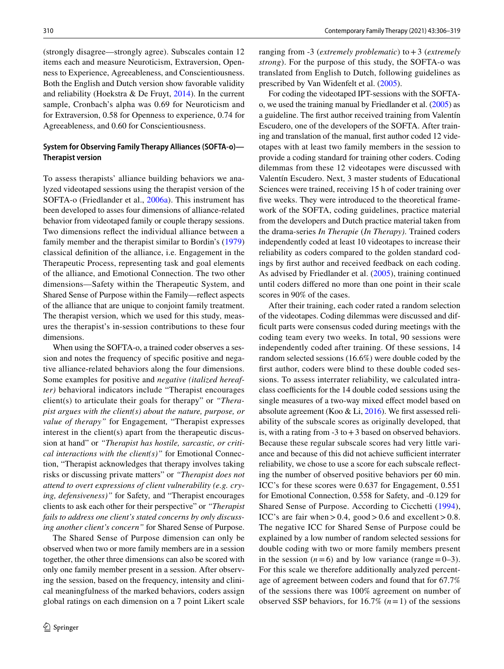(strongly disagree—strongly agree). Subscales contain 12 items each and measure Neuroticism, Extraversion, Openness to Experience, Agreeableness, and Conscientiousness. Both the English and Dutch version show favorable validity and reliability (Hoekstra & De Fruyt, [2014](#page-13-17)). In the current sample, Cronbach's alpha was 0.69 for Neuroticism and for Extraversion, 0.58 for Openness to experience, 0.74 for Agreeableness, and 0.60 for Conscientiousness.

## **System for Observing Family Therapy Alliances (SOFTA‑o)— Therapist version**

To assess therapists' alliance building behaviors we analyzed videotaped sessions using the therapist version of the SOFTA-o (Friedlander et al., [2006a\)](#page-13-4). This instrument has been developed to asses four dimensions of alliance-related behavior from videotaped family or couple therapy sessions. Two dimensions refect the individual alliance between a family member and the therapist similar to Bordin's ([1979\)](#page-12-1) classical defnition of the alliance, i.e. Engagement in the Therapeutic Process, representing task and goal elements of the alliance, and Emotional Connection. The two other dimensions—Safety within the Therapeutic System, and Shared Sense of Purpose within the Family—refect aspects of the alliance that are unique to conjoint family treatment. The therapist version, which we used for this study, measures the therapist's in-session contributions to these four dimensions.

When using the SOFTA-o, a trained coder observes a session and notes the frequency of specifc positive and negative alliance-related behaviors along the four dimensions. Some examples for positive and *negative (italized hereafter)* behavioral indicators include "Therapist encourages client(s) to articulate their goals for therapy" or *"Therapist argues with the client(s) about the nature, purpose, or value of therapy"* for Engagement*,* "Therapist expresses interest in the client(s) apart from the therapeutic discussion at hand" or *"Therapist has hostile, sarcastic, or critical interactions with the client(s)"* for Emotional Connection, "Therapist acknowledges that therapy involves taking risks or discussing private matters" or *"Therapist does not attend to overt expressions of client vulnerability (e.g. crying, defensiveness)"* for Safety*,* and "Therapist encourages clients to ask each other for their perspective" or *"Therapist fails to address one client's stated concerns by only discussing another client's concern"* for Shared Sense of Purpose.

The Shared Sense of Purpose dimension can only be observed when two or more family members are in a session together, the other three dimensions can also be scored with only one family member present in a session. After observing the session, based on the frequency, intensity and clinical meaningfulness of the marked behaviors, coders assign global ratings on each dimension on a 7 point Likert scale ranging from -3 (*extremely problematic*) to+3 (*extremely strong*). For the purpose of this study, the SOFTA-o was translated from English to Dutch, following guidelines as prescribed by Van Widenfelt et al. [\(2005\)](#page-14-11).

For coding the videotaped IPT-sessions with the SOFTAo, we used the training manual by Friedlander et al. ([2005\)](#page-13-25) as a guideline. The frst author received training from Valentín Escudero, one of the developers of the SOFTA. After training and translation of the manual, frst author coded 12 videotapes with at least two family members in the session to provide a coding standard for training other coders. Coding dilemmas from these 12 videotapes were discussed with Valentín Escudero. Next, 3 master students of Educational Sciences were trained, receiving 15 h of coder training over five weeks. They were introduced to the theoretical framework of the SOFTA, coding guidelines, practice material from the developers and Dutch practice material taken from the drama-series *In Therapie* (*In Therapy)*. Trained coders independently coded at least 10 videotapes to increase their reliability as coders compared to the golden standard codings by frst author and received feedback on each coding. As advised by Friedlander et al. [\(2005\)](#page-13-25), training continued until coders difered no more than one point in their scale scores in 90% of the cases.

After their training, each coder rated a random selection of the videotapes. Coding dilemmas were discussed and diffcult parts were consensus coded during meetings with the coding team every two weeks. In total, 90 sessions were independently coded after training. Of these sessions, 14 random selected sessions (16.6%) were double coded by the frst author, coders were blind to these double coded sessions. To assess interrater reliability, we calculated intraclass coefficients for the 14 double coded sessions using the single measures of a two-way mixed efect model based on absolute agreement (Koo & Li, [2016\)](#page-13-26). We frst assessed reliability of the subscale scores as originally developed, that is, with a rating from  $-3$  to  $+3$  based on observed behaviors. Because these regular subscale scores had very little variance and because of this did not achieve sufficient interrater reliability, we chose to use a score for each subscale refecting the number of observed positive behaviors per 60 min. ICC's for these scores were 0.637 for Engagement, 0.551 for Emotional Connection, 0.558 for Safety, and -0.129 for Shared Sense of Purpose. According to Cicchetti ([1994](#page-12-12)), ICC's are fair when  $> 0.4$ , good  $> 0.6$  and excellent  $> 0.8$ . The negative ICC for Shared Sense of Purpose could be explained by a low number of random selected sessions for double coding with two or more family members present in the session  $(n=6)$  and by low variance (range = 0–3). For this scale we therefore additionally analyzed percentage of agreement between coders and found that for 67.7% of the sessions there was 100% agreement on number of observed SSP behaviors, for  $16.7\%$   $(n=1)$  of the sessions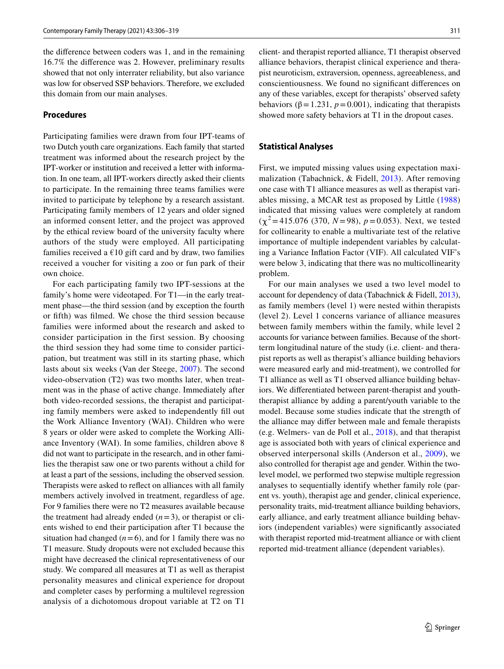the diference between coders was 1, and in the remaining 16.7% the diference was 2. However, preliminary results showed that not only interrater reliability, but also variance was low for observed SSP behaviors. Therefore, we excluded this domain from our main analyses.

#### **Procedures**

Participating families were drawn from four IPT-teams of two Dutch youth care organizations. Each family that started treatment was informed about the research project by the IPT-worker or institution and received a letter with information. In one team, all IPT-workers directly asked their clients to participate. In the remaining three teams families were invited to participate by telephone by a research assistant. Participating family members of 12 years and older signed an informed consent letter, and the project was approved by the ethical review board of the university faculty where authors of the study were employed. All participating families received a  $€10$  gift card and by draw, two families received a voucher for visiting a zoo or fun park of their own choice.

For each participating family two IPT-sessions at the family's home were videotaped. For T1—in the early treatment phase—the third session (and by exception the fourth or ffth) was flmed. We chose the third session because families were informed about the research and asked to consider participation in the first session. By choosing the third session they had some time to consider participation, but treatment was still in its starting phase, which lasts about six weeks (Van der Steege, [2007\)](#page-14-10). The second video-observation (T2) was two months later, when treatment was in the phase of active change. Immediately after both video-recorded sessions, the therapist and participating family members were asked to independently fll out the Work Alliance Inventory (WAI). Children who were 8 years or older were asked to complete the Working Alliance Inventory (WAI). In some families, children above 8 did not want to participate in the research, and in other families the therapist saw one or two parents without a child for at least a part of the sessions, including the observed session. Therapists were asked to refect on alliances with all family members actively involved in treatment, regardless of age. For 9 families there were no T2 measures available because the treatment had already ended  $(n=3)$ , or therapist or clients wished to end their participation after T1 because the situation had changed  $(n=6)$ , and for 1 family there was no T1 measure. Study dropouts were not excluded because this might have decreased the clinical representativeness of our study. We compared all measures at T1 as well as therapist personality measures and clinical experience for dropout and completer cases by performing a multilevel regression analysis of a dichotomous dropout variable at T2 on T1

client- and therapist reported alliance, T1 therapist observed alliance behaviors, therapist clinical experience and therapist neuroticism, extraversion, openness, agreeableness, and conscientiousness. We found no signifcant diferences on any of these variables, except for therapists' observed safety behaviors ( $\beta$  = 1.231, *p* = 0.001), indicating that therapists showed more safety behaviors at T1 in the dropout cases.

#### **Statistical Analyses**

First, we imputed missing values using expectation maximalization (Tabachnick, & Fidell, [2013\)](#page-14-12). After removing one case with T1 alliance measures as well as therapist variables missing, a MCAR test as proposed by Little [\(1988\)](#page-13-27) indicated that missing values were completely at random  $(\chi^2 = 415.076 \ (370, N = 98), p = 0.053)$ . Next, we tested for collinearity to enable a multivariate test of the relative importance of multiple independent variables by calculating a Variance Infation Factor (VIF). All calculated VIF's were below 3, indicating that there was no multicollinearity problem.

For our main analyses we used a two level model to account for dependency of data (Tabachnick & Fidell, [2013](#page-14-12)), as family members (level 1) were nested within therapists (level 2). Level 1 concerns variance of alliance measures between family members within the family, while level 2 accounts for variance between families. Because of the shortterm longitudinal nature of the study (i.e. client- and therapist reports as well as therapist's alliance building behaviors were measured early and mid-treatment), we controlled for T1 alliance as well as T1 observed alliance building behaviors. We diferentiated between parent-therapist and youththerapist alliance by adding a parent/youth variable to the model. Because some studies indicate that the strength of the alliance may difer between male and female therapists (e.g. Welmers- van de Poll et al., [2018](#page-14-2)), and that therapist age is associated both with years of clinical experience and observed interpersonal skills (Anderson et al., [2009](#page-12-13)), we also controlled for therapist age and gender. Within the twolevel model, we performed two stepwise multiple regression analyses to sequentially identify whether family role (parent vs. youth), therapist age and gender, clinical experience, personality traits, mid-treatment alliance building behaviors, early alliance, and early treatment alliance building behaviors (independent variables) were signifcantly associated with therapist reported mid-treatment alliance or with client reported mid-treatment alliance (dependent variables).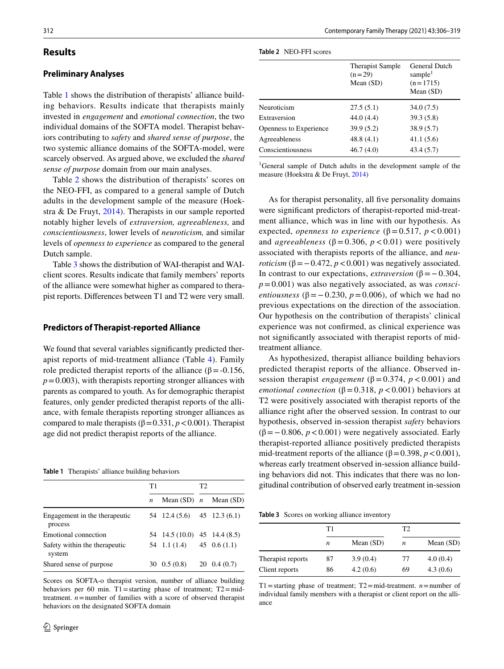## **Results**

## **Preliminary Analyses**

Table [1](#page-7-0) shows the distribution of therapists' alliance building behaviors. Results indicate that therapists mainly invested in *engagement* and *emotional connection*, the two individual domains of the SOFTA model. Therapist behaviors contributing to *safety* and *shared sense of purpose*, the two systemic alliance domains of the SOFTA-model, were scarcely observed. As argued above, we excluded the *shared sense of purpose* domain from our main analyses.

Table [2](#page-7-1) shows the distribution of therapists' scores on the NEO-FFI, as compared to a general sample of Dutch adults in the development sample of the measure (Hoekstra & De Fruyt, [2014](#page-13-17)). Therapists in our sample reported notably higher levels of *extraversion, agreeableness,* and *conscientiousness*, lower levels of *neuroticism,* and similar levels of *openness to experience* as compared to the general Dutch sample.

Table [3](#page-7-2) shows the distribution of WAI-therapist and WAIclient scores. Results indicate that family members' reports of the alliance were somewhat higher as compared to therapist reports. Diferences between T1 and T2 were very small.

#### **Predictors of Therapist‑reported Alliance**

We found that several variables significantly predicted therapist reports of mid-treatment alliance (Table [4\)](#page-8-0). Family role predicted therapist reports of the alliance (β = -0.156,  $p=0.003$ , with therapists reporting stronger alliances with parents as compared to youth. As for demographic therapist features, only gender predicted therapist reports of the alliance, with female therapists reporting stronger alliances as compared to male therapists ( $β = 0.331, p < 0.001$ ). Therapist age did not predict therapist reports of the alliance.

<span id="page-7-0"></span>

|  | <b>Table 1</b> Therapists' alliance building behaviors |  |  |  |
|--|--------------------------------------------------------|--|--|--|
|--|--------------------------------------------------------|--|--|--|

|                                          | T1               |                               | T2 |                           |
|------------------------------------------|------------------|-------------------------------|----|---------------------------|
|                                          | $\boldsymbol{n}$ |                               |    | Mean $(SD)$ n Mean $(SD)$ |
| Engagement in the therapeutic<br>process |                  | $54$ 12.4 (5.6) 45 12.3 (6.1) |    |                           |
| Emotional connection                     |                  | 54 14.5 (10.0) 45 14.4 (8.5)  |    |                           |
| Safety within the therapeutic<br>system  |                  | 54 1.1 $(1.4)$ 45 0.6 $(1.1)$ |    |                           |
| Shared sense of purpose                  |                  | $30\quad 0.5\ (0.8)$          |    | $20\quad0.4\ (0.7)$       |

Scores on SOFTA-o therapist version, number of alliance building behaviors per 60 min. T1=starting phase of treatment; T2=midtreatment. *n*=number of families with a score of observed therapist behaviors on the designated SOFTA domain

<span id="page-7-1"></span>

| <b>Table 2</b> NEO-FFI scores |  |  |
|-------------------------------|--|--|
|-------------------------------|--|--|

|                        | <b>Therapist Sample</b><br>$(n=29)$<br>Mean (SD) | General Dutch<br>sample <sup>1</sup><br>$(n=1715)$<br>Mean $(SD)$ |
|------------------------|--------------------------------------------------|-------------------------------------------------------------------|
| Neuroticism            | 27.5(5.1)                                        | 34.0 (7.5)                                                        |
| Extraversion           | 44.0(4.4)                                        | 39.3(5.8)                                                         |
| Openness to Experience | 39.9(5.2)                                        | 38.9(5.7)                                                         |
| Agreeableness          | 48.8(4.1)                                        | 41.1(5.6)                                                         |
| Conscientiousness      | 46.7(4.0)                                        | 43.4(5.7)                                                         |

<sup>1</sup>General sample of Dutch adults in the development sample of the measure (Hoekstra & De Fruyt, [2014\)](#page-13-17)

As for therapist personality, all fve personality domains were signifcant predictors of therapist-reported mid-treatment alliance, which was in line with our hypothesis. As expected, *openness to experience* ( $\beta$  = 0.517, *p* < 0.001) and *agreeableness* ( $\beta$  = 0.306,  $p$  < 0.01) were positively associated with therapists reports of the alliance, and *neuroticism* ( $\beta = -0.472$ ,  $p < 0.001$ ) was negatively associated. In contrast to our expectations, *extraversion* ( $\beta = -0.304$ , *p*=0.001) was also negatively associated, as was *conscientiousness* ( $\beta$ =−0.230, *p*=0.006), of which we had no previous expectations on the direction of the association. Our hypothesis on the contribution of therapists' clinical experience was not confrmed, as clinical experience was not signifcantly associated with therapist reports of midtreatment alliance.

As hypothesized, therapist alliance building behaviors predicted therapist reports of the alliance. Observed insession therapist *engagement* ( $\beta$  = 0.374, *p* < 0.001) and *emotional connection* ( $\beta$ =0.318, *p* <0.001) behaviors at T2 were positively associated with therapist reports of the alliance right after the observed session. In contrast to our hypothesis, observed in-session therapist *safety* behaviors ( $\beta$ =−0.806, *p* <0.001) were negatively associated. Early therapist-reported alliance positively predicted therapists mid-treatment reports of the alliance ( $\beta$ =0.398, *p* <0.001), whereas early treatment observed in-session alliance building behaviors did not. This indicates that there was no longitudinal contribution of observed early treatment in-session

<span id="page-7-2"></span>**Table 3** Scores on working alliance inventory

|                   | Τ1               |             | T2 |             |  |
|-------------------|------------------|-------------|----|-------------|--|
|                   | $\boldsymbol{n}$ | Mean $(SD)$ | n  | Mean $(SD)$ |  |
| Therapist reports | 87               | 3.9(0.4)    | 77 | 4.0(0.4)    |  |
| Client reports    | 86               | 4.2(0.6)    | 69 | 4.3(0.6)    |  |

T1=starting phase of treatment;  $T2$ =mid-treatment. *n*=number of individual family members with a therapist or client report on the alliance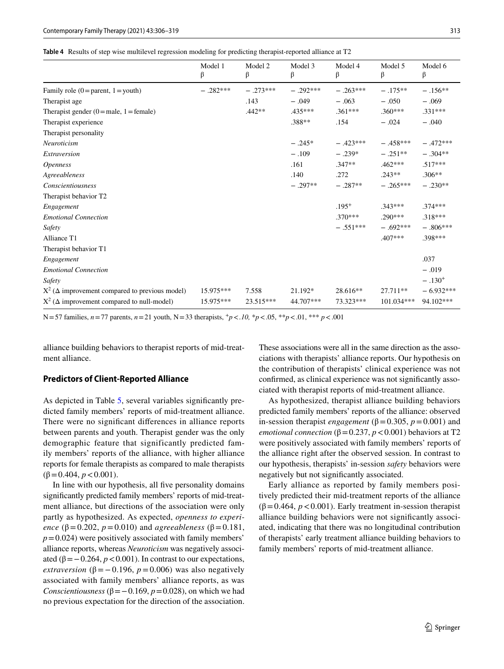<span id="page-8-0"></span>**Table 4** Results of step wise multilevel regression modeling for predicting therapist-reported alliance at T2

|                                                          | Model 1<br>β | Model 2<br>β | Model 3<br>β | Model 4<br>β | Model 5<br>β | Model 6<br>β |
|----------------------------------------------------------|--------------|--------------|--------------|--------------|--------------|--------------|
|                                                          |              |              |              |              |              |              |
| Family role $(0 = parent, 1 = youth)$                    | $-.282***$   | $-.273***$   | $-.292***$   | $-.263***$   | $-.175**$    | $-.156**$    |
| Therapist age                                            |              | .143         | $-.049$      | $-.063$      | $-.050$      | $-.069$      |
| Therapist gender $(0 = male, 1 = female)$                |              | $.442**$     | $.435***$    | $.361***$    | $.360***$    | $.331***$    |
| Therapist experience                                     |              |              | .388**       | .154         | $-.024$      | $-.040$      |
| Therapist personality                                    |              |              |              |              |              |              |
| Neuroticism                                              |              |              | $-.245*$     | $-.423***$   | $-.458***$   | $-.472***$   |
| Extraversion                                             |              |              | $-.109$      | $-.239*$     | $-.251**$    | $-.304**$    |
| <i><b>Openness</b></i>                                   |              |              | .161         | $.347**$     | $.462***$    | $.517***$    |
| Agreeableness                                            |              |              | .140         | .272         | $.243**$     | $.306**$     |
| Conscientiousness                                        |              |              | $-.297**$    | $-.287**$    | $-.265***$   | $-.230**$    |
| Therapist behavior T2                                    |              |              |              |              |              |              |
| Engagement                                               |              |              |              | $.195^{+}$   | $.343***$    | $.374***$    |
| <b>Emotional Connection</b>                              |              |              |              | $.370***$    | $.290***$    | $.318***$    |
| Safety                                                   |              |              |              | $-.551***$   | $-.692***$   | $-.806***$   |
| Alliance T1                                              |              |              |              |              | $.407***$    | .398***      |
| Therapist behavior T1                                    |              |              |              |              |              |              |
| Engagement                                               |              |              |              |              |              | .037         |
| <b>Emotional Connection</b>                              |              |              |              |              |              | $-.019$      |
| Safety                                                   |              |              |              |              |              | $-.130+$     |
| $X^2$ ( $\Delta$ improvement compared to previous model) | 15.975***    | 7.558        | 21.192*      | $28.616**$   | $27.711**$   | $-6.932***$  |
| $X^2$ ( $\Delta$ improvement compared to null-model)     | 15.975***    | $23.515***$  | 44.707***    | 73.323***    | $101.034***$ | 94.102***    |

N=57 families, *n*=77 parents, *n*=21 youth, N=33 therapists, +*p*<*.10,* \**p*<.05, \*\**p*<.01, \*\*\* *p*<.001

alliance building behaviors to therapist reports of mid-treatment alliance.

#### **Predictors of Client‑Reported Alliance**

As depicted in Table [5,](#page-9-0) several variables signifcantly predicted family members' reports of mid-treatment alliance. There were no signifcant diferences in alliance reports between parents and youth. Therapist gender was the only demographic feature that significantly predicted family members' reports of the alliance, with higher alliance reports for female therapists as compared to male therapists  $(\beta = 0.404, p < 0.001).$ 

In line with our hypothesis, all fve personality domains signifcantly predicted family members' reports of mid-treatment alliance, but directions of the association were only partly as hypothesized. As expected, *openness to experience* ( $\beta$ =0.202, *p*=0.010) and *agreeableness* ( $\beta$ =0.181,  $p=0.024$ ) were positively associated with family members' alliance reports, whereas *Neuroticism* was negatively associated ( $\beta = -0.264$ ,  $p < 0.001$ ). In contrast to our expectations, *extraversion* ( $\beta$ =−0.196, *p*=0.006) was also negatively associated with family members' alliance reports, as was *Conscientiousness* ( $\beta$ = −0.169, *p* = 0.028), on which we had no previous expectation for the direction of the association.

These associations were all in the same direction as the associations with therapists' alliance reports. Our hypothesis on the contribution of therapists' clinical experience was not confrmed, as clinical experience was not signifcantly associated with therapist reports of mid-treatment alliance.

As hypothesized, therapist alliance building behaviors predicted family members' reports of the alliance: observed in-session therapist *engagement* ( $\beta$  = 0.305, *p* = 0.001) and *emotional connection* ( $\beta$ =0.237,  $p$  <0.001) behaviors at T2 were positively associated with family members' reports of the alliance right after the observed session. In contrast to our hypothesis, therapists' in-session *safety* behaviors were negatively but not signifcantly associated.

Early alliance as reported by family members positively predicted their mid-treatment reports of the alliance ( $\beta$ =0.464,  $p$  < 0.001). Early treatment in-session therapist alliance building behaviors were not signifcantly associated, indicating that there was no longitudinal contribution of therapists' early treatment alliance building behaviors to family members' reports of mid-treatment alliance.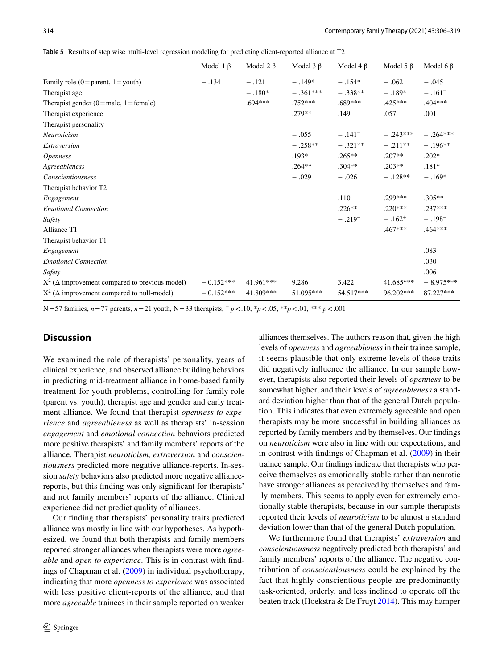<span id="page-9-0"></span>**Table 5** Results of step wise multi-level regression modeling for predicting client-reported alliance at T2

|                                                          | Model 1 $\beta$ | Model $2 \beta$ | Model $3 \beta$ | Model 4 $\beta$ | Model 5 $\beta$ | Model 6 $\beta$ |
|----------------------------------------------------------|-----------------|-----------------|-----------------|-----------------|-----------------|-----------------|
| Family role $(0 = parent, 1 = youth)$                    | $-.134$         | $-.121$         | $-.149*$        | $-.154*$        | $-.062$         | $-.045$         |
| Therapist age                                            |                 | $-.180*$        | $-.361***$      | $-.338**$       | $-.189*$        | $-.161+$        |
| Therapist gender $(0 = male, 1 = female)$                |                 | .694***         | $.752***$       | $.689***$       | $.425***$       | .404 ***        |
| Therapist experience                                     |                 |                 | $.279**$        | .149            | .057            | .001            |
| Therapist personality                                    |                 |                 |                 |                 |                 |                 |
| Neuroticism                                              |                 |                 | $-.055$         | $-.141+$        | $-.243***$      | $-.264***$      |
| Extraversion                                             |                 |                 | $-.258**$       | $-.321**$       | $-.211**$       | $-.196**$       |
| <i><b>Openness</b></i>                                   |                 |                 | $.193*$         | $.265**$        | $.207**$        | $.202*$         |
| Agreeableness                                            |                 |                 | $.264**$        | $.304**$        | $.203**$        | $.181*$         |
| Conscientiousness                                        |                 |                 | $-.029$         | $-.026$         | $-.128**$       | $-.169*$        |
| Therapist behavior T2                                    |                 |                 |                 |                 |                 |                 |
| Engagement                                               |                 |                 |                 | .110            | .299***         | $.305**$        |
| <b>Emotional Connection</b>                              |                 |                 |                 | $.226**$        | $.220***$       | $.237***$       |
| Safety                                                   |                 |                 |                 | $-.219+$        | $-.162^{+}$     | $-.198+$        |
| Alliance T1                                              |                 |                 |                 |                 | .467***         | $.464***$       |
| Therapist behavior T1                                    |                 |                 |                 |                 |                 |                 |
| Engagement                                               |                 |                 |                 |                 |                 | .083            |
| <b>Emotional Connection</b>                              |                 |                 |                 |                 |                 | .030            |
| Safety                                                   |                 |                 |                 |                 |                 | .006            |
| $X^2$ ( $\Delta$ improvement compared to previous model) | $-0.152***$     | 41.961***       | 9.286           | 3.422           | 41.685***       | $-8.975***$     |
| $X^2$ ( $\Delta$ improvement compared to null-model)     | $-0.152***$     | 41.809***       | 51.095***       | 54.517***       | $96.202***$     | 87.227***       |

N=57 families, *n*=77 parents, *n*=21 youth, N=33 therapists, + *p*<.10, \**p*<.05, \*\**p*<.01, \*\*\* *p*<.001

## **Discussion**

We examined the role of therapists' personality, years of clinical experience, and observed alliance building behaviors in predicting mid-treatment alliance in home-based family treatment for youth problems, controlling for family role (parent vs. youth), therapist age and gender and early treatment alliance. We found that therapist *openness to experience* and *agreeableness* as well as therapists' in-session *engagement* and *emotional connection* behaviors predicted more positive therapists' and family members' reports of the alliance. Therapist *neuroticism, extraversion* and *conscientiousness* predicted more negative alliance-reports. In-session *safety* behaviors also predicted more negative alliancereports, but this fnding was only signifcant for therapists' and not family members' reports of the alliance. Clinical experience did not predict quality of alliances.

Our fnding that therapists' personality traits predicted alliance was mostly in line with our hypotheses. As hypothesized, we found that both therapists and family members reported stronger alliances when therapists were more *agreeable* and *open to experience*. This is in contrast with fndings of Chapman et al. [\(2009\)](#page-12-5) in individual psychotherapy, indicating that more *openness to experience* was associated with less positive client-reports of the alliance, and that more *agreeable* trainees in their sample reported on weaker alliances themselves. The authors reason that, given the high levels of *openness* and *agreeableness* in their trainee sample, it seems plausible that only extreme levels of these traits did negatively infuence the alliance. In our sample however, therapists also reported their levels of *openness* to be somewhat higher, and their levels of *agreeableness* a standard deviation higher than that of the general Dutch population. This indicates that even extremely agreeable and open therapists may be more successful in building alliances as reported by family members and by themselves. Our fndings on *neuroticism* were also in line with our expectations, and in contrast with fndings of Chapman et al. ([2009](#page-12-5)) in their trainee sample. Our fndings indicate that therapists who perceive themselves as emotionally stable rather than neurotic have stronger alliances as perceived by themselves and family members. This seems to apply even for extremely emotionally stable therapists, because in our sample therapists reported their levels of *neuroticism* to be almost a standard deviation lower than that of the general Dutch population.

We furthermore found that therapists' *extraversion* and *conscientiousness* negatively predicted both therapists' and family members' reports of the alliance. The negative contribution of *conscientiousness* could be explained by the fact that highly conscientious people are predominantly task-oriented, orderly, and less inclined to operate off the beaten track (Hoekstra & De Fruyt [2014\)](#page-13-17). This may hamper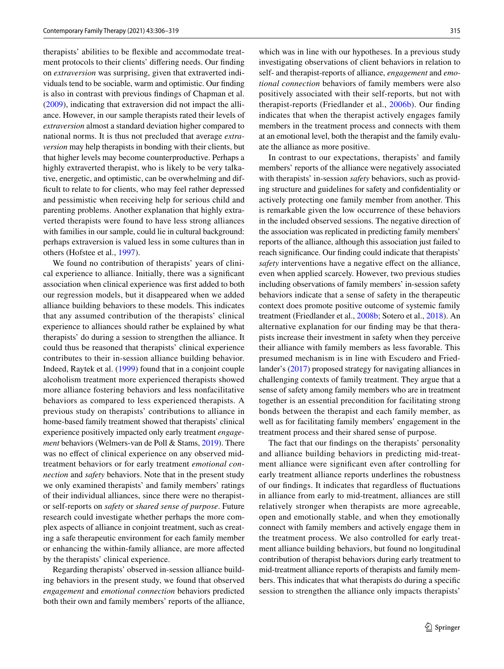therapists' abilities to be fexible and accommodate treatment protocols to their clients' difering needs. Our fnding on *extraversion* was surprising, given that extraverted individuals tend to be sociable, warm and optimistic. Our fnding is also in contrast with previous fndings of Chapman et al. [\(2009\)](#page-12-5), indicating that extraversion did not impact the alliance. However, in our sample therapists rated their levels of *extraversion* almost a standard deviation higher compared to national norms. It is thus not precluded that average *extraversion* may help therapists in bonding with their clients, but that higher levels may become counterproductive. Perhaps a highly extraverted therapist, who is likely to be very talkative, energetic, and optimistic, can be overwhelming and difficult to relate to for clients, who may feel rather depressed and pessimistic when receiving help for serious child and parenting problems. Another explanation that highly extraverted therapists were found to have less strong alliances with families in our sample, could lie in cultural background: perhaps extraversion is valued less in some cultures than in others (Hofstee et al., [1997\)](#page-13-28).

We found no contribution of therapists' years of clinical experience to alliance. Initially, there was a signifcant association when clinical experience was frst added to both our regression models, but it disappeared when we added alliance building behaviors to these models. This indicates that any assumed contribution of the therapists' clinical experience to alliances should rather be explained by what therapists' do during a session to strengthen the alliance. It could thus be reasoned that therapists' clinical experience contributes to their in-session alliance building behavior. Indeed, Raytek et al. ([1999\)](#page-14-13) found that in a conjoint couple alcoholism treatment more experienced therapists showed more alliance fostering behaviors and less nonfacilitative behaviors as compared to less experienced therapists. A previous study on therapists' contributions to alliance in home-based family treatment showed that therapists' clinical experience positively impacted only early treatment *engagement* behaviors (Welmers-van de Poll & Stams, [2019](#page-14-14)). There was no effect of clinical experience on any observed midtreatment behaviors or for early treatment *emotional connection* and *safety* behaviors. Note that in the present study we only examined therapists' and family members' ratings of their individual alliances, since there were no therapistor self-reports on *safety* or *shared sense of purpose*. Future research could investigate whether perhaps the more complex aspects of alliance in conjoint treatment, such as creating a safe therapeutic environment for each family member or enhancing the within-family alliance, are more afected by the therapists' clinical experience.

Regarding therapists' observed in-session alliance building behaviors in the present study, we found that observed *engagement* and *emotional connection* behaviors predicted both their own and family members' reports of the alliance,

which was in line with our hypotheses. In a previous study investigating observations of client behaviors in relation to self- and therapist-reports of alliance, *engagement* and *emotional connection* behaviors of family members were also positively associated with their self-reports, but not with therapist-reports (Friedlander et al., [2006b](#page-13-6)). Our fnding indicates that when the therapist actively engages family members in the treatment process and connects with them at an emotional level, both the therapist and the family evaluate the alliance as more positive.

In contrast to our expectations, therapists' and family members' reports of the alliance were negatively associated with therapists' in-session *safety* behaviors, such as providing structure and guidelines for safety and confdentiality or actively protecting one family member from another. This is remarkable given the low occurrence of these behaviors in the included observed sessions. The negative direction of the association was replicated in predicting family members' reports of the alliance, although this association just failed to reach signifcance. Our fnding could indicate that therapists' *safety* interventions have a negative efect on the alliance, even when applied scarcely. However, two previous studies including observations of family members' in-session safety behaviors indicate that a sense of safety in the therapeutic context does promote positive outcome of systemic family treatment (Friedlander et al., [2008b;](#page-13-29) Sotero et al., [2018\)](#page-14-15). An alternative explanation for our fnding may be that therapists increase their investment in safety when they perceive their alliance with family members as less favorable. This presumed mechanism is in line with Escudero and Friedlander's [\(2017](#page-13-8)) proposed strategy for navigating alliances in challenging contexts of family treatment. They argue that a sense of safety among family members who are in treatment together is an essential precondition for facilitating strong bonds between the therapist and each family member, as well as for facilitating family members' engagement in the treatment process and their shared sense of purpose.

The fact that our fndings on the therapists' personality and alliance building behaviors in predicting mid-treatment alliance were signifcant even after controlling for early treatment alliance reports underlines the robustness of our fndings. It indicates that regardless of fuctuations in alliance from early to mid-treatment, alliances are still relatively stronger when therapists are more agreeable, open and emotionally stable, and when they emotionally connect with family members and actively engage them in the treatment process. We also controlled for early treatment alliance building behaviors, but found no longitudinal contribution of therapist behaviors during early treatment to mid-treatment alliance reports of therapists and family members. This indicates that what therapists do during a specifc session to strengthen the alliance only impacts therapists'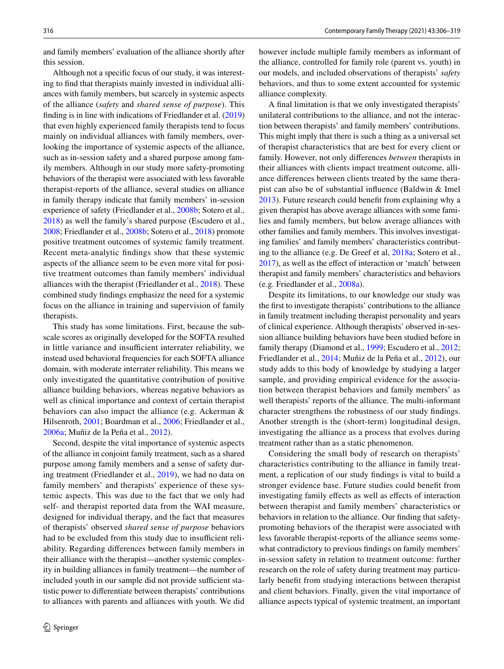and family members' evaluation of the alliance shortly after this session.

Although not a specifc focus of our study, it was interesting to fnd that therapists mainly invested in individual alliances with family members, but scarcely in systemic aspects of the alliance (*safety* and *shared sense of purpose*). This fnding is in line with indications of Friedlander et al. [\(2019\)](#page-13-30) that even highly experienced family therapists tend to focus mainly on individual alliances with family members, overlooking the importance of systemic aspects of the alliance, such as in-session safety and a shared purpose among family members. Although in our study more safety-promoting behaviors of the therapist were associated with less favorable therapist-reports of the alliance, several studies on alliance in family therapy indicate that family members' in-session experience of safety (Friedlander et al., [2008b](#page-13-29); Sotero et al., [2018](#page-14-15)) as well the family's shared purpose (Escudero et al., [2008](#page-13-5); Friedlander et al., [2008b](#page-13-29); Sotero et al., [2018](#page-14-15)) promote positive treatment outcomes of systemic family treatment. Recent meta-analytic fndings show that these systemic aspects of the alliance seem to be even more vital for positive treatment outcomes than family members' individual alliances with the therapist (Friedlander et al., [2018\)](#page-13-31). These combined study fndings emphasize the need for a systemic focus on the alliance in training and supervision of family therapists.

This study has some limitations. First, because the subscale scores as originally developed for the SOFTA resulted in little variance and insufficient interrater reliability, we instead used behavioral frequencies for each SOFTA alliance domain, with moderate interrater reliability. This means we only investigated the quantitative contribution of positive alliance building behaviors, whereas negative behaviors as well as clinical importance and context of certain therapist behaviors can also impact the alliance (e.g. Ackerman & Hilsenroth, [2001;](#page-12-4) Boardman et al., [2006;](#page-12-14) Friedlander et al., [2006a;](#page-13-4) Muñiz de la Peña et al., [2012](#page-13-13)).

Second, despite the vital importance of systemic aspects of the alliance in conjoint family treatment, such as a shared purpose among family members and a sense of safety during treatment (Friedlander et al., [2019](#page-13-30)), we had no data on family members' and therapists' experience of these systemic aspects. This was due to the fact that we only had self- and therapist reported data from the WAI measure, designed for individual therapy, and the fact that measures of therapists' observed *shared sense of purpose* behaviors had to be excluded from this study due to insufficient reliability. Regarding diferences between family members in their alliance with the therapist—another systemic complexity in building alliances in family treatment—the number of included youth in our sample did not provide sufficient statistic power to diferentiate between therapists' contributions to alliances with parents and alliances with youth. We did however include multiple family members as informant of the alliance, controlled for family role (parent vs. youth) in our models, and included observations of therapists' *safety* behaviors, and thus to some extent accounted for systemic alliance complexity.

A fnal limitation is that we only investigated therapists' unilateral contributions to the alliance, and not the interaction between therapists' and family members' contributions. This might imply that there is such a thing as a universal set of therapist characteristics that are best for every client or family. However, not only diferences *between* therapists in their alliances with clients impact treatment outcome, alliance diferences between clients treated by the same therapist can also be of substantial infuence (Baldwin & Imel [2013](#page-12-15)). Future research could beneft from explaining why a given therapist has above average alliances with some families and family members, but below average alliances with other families and family members. This involves investigating families' and family members' characteristics contributing to the alliance (e.g. De Greef et al, [2018a](#page-12-16); Sotero et al., [2017](#page-14-5)), as well as the efect of interaction or 'match' between therapist and family members' characteristics and behaviors (e.g. Friedlander et al., [2008a](#page-13-9)).

Despite its limitations, to our knowledge our study was the frst to investigate therapists' contributions to the alliance in family treatment including therapist personality and years of clinical experience. Although therapists' observed in-session alliance building behaviors have been studied before in family therapy (Diamond et al., [1999](#page-13-12); Escudero et al., [2012](#page-13-14); Friedlander et al., [2014](#page-13-15); Muñiz de la Peña et al., [2012](#page-13-13)), our study adds to this body of knowledge by studying a larger sample, and providing empirical evidence for the association between therapist behaviors and family members' as well therapists' reports of the alliance. The multi-informant character strengthens the robustness of our study fndings. Another strength is the (short-term) longitudinal design, investigating the alliance as a process that evolves during treatment rather than as a static phenomenon.

Considering the small body of research on therapists' characteristics contributing to the alliance in family treatment, a replication of our study fndings is vital to build a stronger evidence base. Future studies could beneft from investigating family effects as well as effects of interaction between therapist and family members' characteristics or behaviors in relation to the alliance. Our fnding that safetypromoting behaviors of the therapist were associated with less favorable therapist-reports of the alliance seems somewhat contradictory to previous fndings on family members' in-session safety in relation to treatment outcome: further research on the role of safety during treatment may particularly beneft from studying interactions between therapist and client behaviors. Finally, given the vital importance of alliance aspects typical of systemic treatment, an important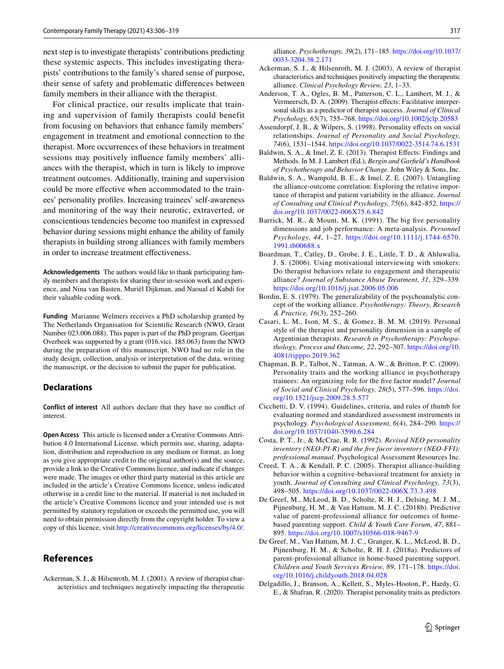next step is to investigate therapists' contributions predicting these systemic aspects. This includes investigating therapists' contributions to the family's shared sense of purpose, their sense of safety and problematic diferences between family members in their alliance with the therapist.

For clinical practice, our results implicate that training and supervision of family therapists could benefit from focusing on behaviors that enhance family members' engagement in treatment and emotional connection to the therapist. More occurrences of these behaviors in treatment sessions may positively infuence family members' alliances with the therapist, which in turn is likely to improve treatment outcomes. Additionally, training and supervision could be more efective when accommodated to the trainees' personality profles. Increasing trainees' self-awareness and monitoring of the way their neurotic, extraverted, or conscientious tendencies become too manifest in expressed behavior during sessions might enhance the ability of family therapists in building strong alliances with family members in order to increase treatment efectiveness.

**Acknowledgements** The authors would like to thank participating family members and therapists for sharing their in-session work and experience, and Nina van Basten, Muriël Dijkman, and Naoual el Kabdi for their valuable coding work.

**Funding** Marianne Welmers receives a PhD scholarship granted by The Netherlands Organisation for Scientifc Research (NWO, Grant Number 023.006.088). This paper is part of the PhD program. Geertjan Overbeek was supported by a grant (016.vici. 185.063) from the NWO during the preparation of this manuscript. NWO had no role in the study design, collection, analysis or interpretation of the data, writing the manuscript, or the decision to submit the paper for publication.

#### **Declarations**

**Conflict of interest** All authors declare that they have no confict of interest.

**Open Access** This article is licensed under a Creative Commons Attribution 4.0 International License, which permits use, sharing, adaptation, distribution and reproduction in any medium or format, as long as you give appropriate credit to the original author(s) and the source, provide a link to the Creative Commons licence, and indicate if changes were made. The images or other third party material in this article are included in the article's Creative Commons licence, unless indicated otherwise in a credit line to the material. If material is not included in the article's Creative Commons licence and your intended use is not permitted by statutory regulation or exceeds the permitted use, you will need to obtain permission directly from the copyright holder. To view a copy of this licence, visit <http://creativecommons.org/licenses/by/4.0/>.

## **References**

<span id="page-12-4"></span>Ackerman, S. J., & Hilsenroth, M. J. (2001). A review of therapist characteristics and techniques negatively impacting the therapeutic alliance. *Psychotherapy, 39*(2), 171–185. [https://doi.org/10.1037/](https://doi.org/10.1037/0033-3204.38.2.171) [0033-3204.38.2.171](https://doi.org/10.1037/0033-3204.38.2.171)

- <span id="page-12-3"></span>Ackerman, S. J., & Hilsenroth, M. J. (2003). A review of therapist characteristics and techniques positively impacting the therapeutic alliance. *Clinical Psychology Review, 23*, 1–33.
- <span id="page-12-13"></span>Anderson, T. A., Ogles, B. M., Patterson, C. L., Lambert, M. J., & Vermeersch, D. A. (2009). Therapist efects: Facilitative interpersonal skills as a predictor of therapist success. *Journal of Clinical Psychology, 65*(7), 755–768. <https://doi.org/10.1002/jclp.20583>
- <span id="page-12-8"></span>Assendorpf, J. B., & Wilpers, S. (1998). Personality efects on social relationships. *Journal of Personality and Social Psychology, 74*(6), 1531–1544. <https://doi.org/10.1037/0022-3514.74.6.1531>
- <span id="page-12-15"></span>Baldwin, S. A., & Imel, Z. E. (2013). Therapist Efects: Findings and Methods. In M. J. Lambert (Ed.), *Bergin and Garfeld's Handbook of Psychotherapy and Behavior Change.* John Wiley & Sons, Inc.
- <span id="page-12-0"></span>Baldwin, S. A., Wampold, B. E., & Imel, Z. E. (2007). Untangling the alliance-outcome correlation: Exploring the relative importance of therapist and patient variability in the alliance. *Journal of Consulting and Clinical Psychology, 75*(6), 842–852. [https://](https://doi.org/10.1037/0022-006X75.6.842) [doi.org/10.1037/0022-006X75.6.842](https://doi.org/10.1037/0022-006X75.6.842)
- <span id="page-12-6"></span>Barrick, M. R., & Mount, M. K. (1991). The big five personality dimensions and job performance: A meta-analysis. *Personnel Psychology, 44*, 1–27. [https://doi.org/10.1111/j.1744-6570.](https://doi.org/10.1111/j.1744-6570.1991.tb00688.x) [1991.tb00688.x](https://doi.org/10.1111/j.1744-6570.1991.tb00688.x)
- <span id="page-12-14"></span>Boardman, T., Catley, D., Grobe, J. E., Little, T. D., & Ahluwalia, J. S. (2006). Using motivational interviewing with smokers: Do therapist behaviors relate to engagement and therapeutic alliance? *Journal of Substance Abuse Treatment*, *31*, 329–339. <https://doi.org/10.1016/j.jsat.2006.05.006>
- <span id="page-12-1"></span>Bordin, E. S. (1979). The generalizability of the psychoanalytic concept of the working alliance. *Psychotherapy: Theory, Research & Practice, 16*(3), 252–260.
- <span id="page-12-7"></span>Casari, L. M., Ison, M. S., & Gomez, B. M. M. (2019). Personal style of the therapist and personality dimension in a sample of Argentinian therapists. *Research in Psychotherapy: Psychopathology, Process and Outcome, 22*, 292–307. [https://doi.org/10.](https://doi.org/10.4081/ripppo.2019.362) [4081/ripppo.2019.362](https://doi.org/10.4081/ripppo.2019.362)
- <span id="page-12-5"></span>Chapman, B. P., Talbot, N., Tatman, A. W., & Britton, P. C. (2009). Personality traits and the working alliance in psychotherapy trainees: An organizing role for the fve factor model? *Journal of Social and Clinical Psychology, 28*(5), 577–596. [https://doi.](https://doi.org/10.1521/jscp.2009.28.5.577) [org/10.1521/jscp.2009.28.5.577](https://doi.org/10.1521/jscp.2009.28.5.577)
- <span id="page-12-12"></span>Cicchetti, D. V. (1994). Guidelines, criteria, and rules of thumb for evaluating normed and standardized assessment instruments in psychology. *Psychological Assessment, 6*(4), 284–290. [https://](https://doi.org/10.1037/1040-3590.6.284) [doi.org/10.1037/1040-3590.6.284](https://doi.org/10.1037/1040-3590.6.284)
- <span id="page-12-11"></span>Costa, P. T., Jr., & McCrae, R. R. (1992). *Revised NEO personality inventory (NEO-PI-R) and the fve facor inventory (NEO-FFI): professional manual*. Psychological Assessment Resources Inc.
- <span id="page-12-2"></span>Creed, T. A., & Kendall, P. C. (2005). Therapist alliance-building behavior within a cognitive-behavioral treatment for anxiety in youth. *Journal of Consulting and Clinical Psychology, 73*(3), 498–505.<https://doi.org/10.1037/0022-006X.73.3.498>
- <span id="page-12-10"></span>De Greef, M., McLeod, B. D., Scholte, R. H. J., Delsing, M. J. M., Pijnenburg, H. M., & Van Hattum, M. J. C. (2018b). Predictive value of parent-professional alliance for outcomes of homebased parenting support. *Child & Youth Care Forum, 47*, 881– 895. <https://doi.org/10.1007/s10566-018-9467-9>
- <span id="page-12-16"></span>De Greef, M., Van Hattum, M. J. C., Granger, K. L., McLeod, B. D., Pijnenburg, H. M., & Scholte, R. H. J. (2018a). Predictors of parent-professional alliance in home-based parenting support. *Children and Youth Services Review, 89*, 171–178. [https://doi.](https://doi.org/10.1016/j.childyouth.2018.04.028) [org/10.1016/j.childyouth.2018.04.028](https://doi.org/10.1016/j.childyouth.2018.04.028)
- <span id="page-12-9"></span>Delgadillo, J., Branson, A., Kellett, S., Myles-Hooton, P., Hardy, G. E., & Shafran, R. (2020). Therapist personality traits as predictors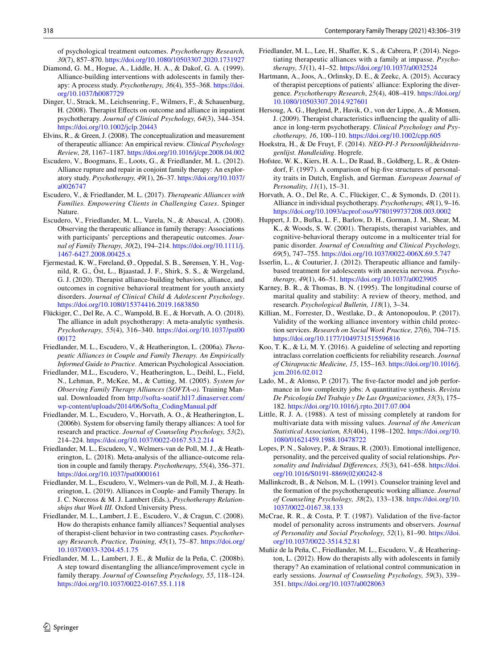of psychological treatment outcomes. *Psychotherapy Research, 30*(7), 857–870.<https://doi.org/10.1080/10503307.2020.1731927>

- <span id="page-13-12"></span>Diamond, G. M., Hogue, A., Liddle, H. A., & Dakof, G. A. (1999). Alliance-building interventions with adolescents in family therapy: A process study. *Psychotherapy, 36*(4), 355–368. [https://doi.](https://doi.org/10.1037/h0087729) [org/10.1037/h0087729](https://doi.org/10.1037/h0087729)
- <span id="page-13-3"></span>Dinger, U., Strack, M., Leichsenring, F., Wilmers, F., & Schauenburg, H. (2008). Therapist Efects on outcome and alliance in inpatient psychotherapy. *Journal of Clinical Psychology, 64*(3), 344–354. <https://doi.org/10.1002/jclp.20443>
- <span id="page-13-1"></span>Elvins, R., & Green, J. (2008). The conceptualization and measurement of therapeutic alliance: An empirical review. *Clinical Psychology Review, 28*, 1167–1187. <https://doi.org/10.1016/j/cpr.2008.04.002>
- <span id="page-13-14"></span>Escudero, V., Boogmans, E., Loots, G., & Friedlander, M. L. (2012). Alliance rupture and repair in conjoint family therapy: An exploratory study. *Psychotherapy, 49*(1), 26–37. [https://doi.org/10.1037/](https://doi.org/10.1037/a0026747) [a0026747](https://doi.org/10.1037/a0026747)
- <span id="page-13-8"></span>Escudero, V., & Friedlander, M. L. (2017). *Therapeutic Alliances with Families. Empowering Clients in Challenging Cases*. Spinger Nature.
- <span id="page-13-5"></span>Escudero, V., Friedlander, M. L., Varela, N., & Abascal, A. (2008). Observing the therapeutic alliance in family therapy: Associations with participants' perceptions and therapeutic outcomes. *Journal of Family Therapy, 30*(2), 194–214. [https://doi.org/10.1111/j.](https://doi.org/10.1111/j.1467-6427.2008.00425.x) [1467-6427.2008.00425.x](https://doi.org/10.1111/j.1467-6427.2008.00425.x)
- <span id="page-13-11"></span>Fjermestad, K. W., Føreland, Ø., Oppedal, S. B., Sørensen, Y. H., Vognild, R. G., Öst, L., Bjaastad, J. F., Shirk, S. S., & Wergeland, G. J. (2020). Therapist alliance-building behaviors, alliance, and outcomes in cognitive behavioral treatment for youth anxiety disorders. *Journal of Clinical Child & Adolescent Psychology*. <https://doi.org/10.1080/15374416.2019.1683850>
- <span id="page-13-2"></span>Flückiger, C., Del Re, A. C., Wampold, B. E., & Horvath, A. O. (2018). The alliance in adult psychotherapy: A meta-analytic synthesis. *Psychotherapy, 55*(4), 316–340. [https://doi.org/10.1037/pst00](https://doi.org/10.1037/pst0000172) [00172](https://doi.org/10.1037/pst0000172)
- <span id="page-13-4"></span>Friedlander, M. L., Escudero, V., & Heatherington, L. (2006a). *Therapeutic Alliances in Couple and Family Therapy. An Empirically Informed Guide to Practice*. American Psychological Association.
- <span id="page-13-25"></span>Friedlander, M.L., Escudero, V., Heatherington, L., Deihl, L., Field, N., Lehman, P., McKee, M., & Cutting, M. (2005). *System for Observing Family Therapy Alliances (SOFTA-o).* Training Manual. Downloaded from [http://softa-soatif.hl17.dinaserver.com/](http://softa-soatif.hl17.dinaserver.com/wp-content/uploads/2014/06/Softa_CodingManual.pdf) [wp-content/uploads/2014/06/Softa\\_CodingManual.pdf](http://softa-soatif.hl17.dinaserver.com/wp-content/uploads/2014/06/Softa_CodingManual.pdf)
- <span id="page-13-6"></span>Friedlander, M. L., Escudero, V., Horvath, A. O., & Heatherington, L. (2006b). System for observing family therapy alliances: A tool for research and practice. *Journal of Counseling Psychology, 53*(2), 214–224.<https://doi.org/10.1037/0022-0167.53.2.214>
- <span id="page-13-31"></span>Friedlander, M. L., Escudero, V., Welmers-van de Poll, M. J., & Heatherington, L. (2018). Meta-analysis of the alliance-outcome relation in couple and family therapy. *Psychotherapy, 55*(4), 356–371. <https://doi.org/10.1037/pst0000161>
- <span id="page-13-30"></span>Friedlander, M. L., Escudero, V., Welmers-van de Poll, M. J., & Heatherington, L. (2019). Alliances in Couple- and Family Therapy. In J. C. Norcross & M. J. Lambert (Eds.), *Psychotherapy Relationships that Work III.* Oxford University Press.
- <span id="page-13-9"></span>Friedlander, M. L., Lambert, J. E., Escudero, V., & Cragun, C. (2008). How do therapists enhance family alliances? Sequential analyses of therapist-client behavior in two contrasting cases. *Psychotherapy Research, Practice, Training, 45*(1), 75–87. [https://doi.org/](https://doi.org/10.1037/0033-3204.45.1.75) [10.1037/0033-3204.45.1.75](https://doi.org/10.1037/0033-3204.45.1.75)
- <span id="page-13-29"></span>Friedlander, M. L., Lambert, J. E., & Muñiz de la Peña, C. (2008b). A step toward disentangling the alliance/improvement cycle in family therapy. *Journal of Counseling Psychology, 55*, 118–124. <https://doi.org/10.1037/0022-0167.55.1.118>
- <span id="page-13-15"></span>Friedlander, M. L., Lee, H., Shaffer, K. S., & Cabrera, P. (2014). Negotiating therapeutic alliances with a family at impasse. *Psychotherapy, 51*(1), 41–52. <https://doi.org/10.1037/a0032524>
- <span id="page-13-23"></span>Hartmann, A., Joos, A., Orlinsky, D. E., & Zeekc, A. (2015). Accuracy of therapist perceptions of patients' alliance: Exploring the divergence. *Psychotherapy Research*, *25*(4), 408–419. [https://doi.org/](https://doi.org/10.1080/10503307.2014.927601) [10.1080/10503307.2014.927601](https://doi.org/10.1080/10503307.2014.927601)
- <span id="page-13-22"></span>Hersoug, A. G., Høglend, P., Havik, O., von der Lippe, A., & Monsen, J. (2009). Therapist characteristics infuencing the quality of alliance in long-term psychotherapy. *Clinical Psychology and Psychotherapy, 16*, 100–110. <https://doi.org/10.1002/cpp.605>
- <span id="page-13-17"></span>Hoekstra, H., & De Fruyt, F. (2014). *NEO-PI-3 Persoonlijkheidsvragenlijst. Handleiding*. Hogrefe.
- <span id="page-13-28"></span>Hofstee, W. K., Kiers, H. A. L., De Raad, B., Goldberg, L. R., & Ostendorf, F. (1997). A comparison of big-fve structures of personality traits in Dutch, English, and German. *European Journal of Personality, 11*(1), 15–31.
- <span id="page-13-10"></span>Horvath, A. O., Del Re, A. C., Flückiger, C., & Symonds, D. (2011). Alliance in individual psychotherapy. *Psychotherapy, 48*(1), 9–16. <https://doi.org/10.1093/acprof:oso/9780199737208.003.0002>
- <span id="page-13-0"></span>Huppert, J. D., Bufka, L. F., Barlow, D. H., Gorman, J. M., Shear, M. K., & Woods, S. W. (2001). Therapists, therapist variables, and cognitive-behavioral therapy outcome in a multicenter trial for panic disorder. *Journal of Consulting and Clinical Psychology, 69*(5), 747–755.<https://doi.org/10.1037/0022-006X.69.5.747>
- <span id="page-13-7"></span>Isserlin, L., & Couturier, J. (2012). Therapeutic alliance and familybased treatment for adolescents with anorexia nervosa. *Psychotherapy, 49*(1), 46–51. <https://doi.org/10.1037/a0023905>
- <span id="page-13-19"></span>Karney, B. R., & Thomas, B. N. (1995). The longitudinal course of marital quality and stability: A review of theory, method, and research. *Psychological Bulletin, 118*(1), 3–34.
- <span id="page-13-24"></span>Killian, M., Forrester, D., Westlake, D., & Antonopoulou, P. (2017). Validity of the working alliance inventory within child protection services. *Research on Social Work Practice, 27*(6), 704–715. <https://doi.org/10.1177/1049731515596816>
- <span id="page-13-26"></span>Koo, T. K., & Li, M. Y. (2016). A guideline of selecting and reporting intraclass correlation coefficients for reliability research. *Journal of Chirapractic Medicine, 15*, 155–163. [https://doi.org/10.1016/j.](https://doi.org/10.1016/j.jcm.2016.02.012) [jcm.2016.02.012](https://doi.org/10.1016/j.jcm.2016.02.012)
- <span id="page-13-18"></span>Lado, M., & Alonso, P. (2017). The fve-factor model and job performance in low complexity jobs: A quantitative synthesis. *Revista De Psicología Del Trabajo y De Las Organizaciones, 33*(3), 175– 182.<https://doi.org/10.1016/j.rpto.2017.07.004>
- <span id="page-13-27"></span>Little, R. J. A. (1988). A test of missing completely at random for multivariate data with missing values. *Journal of the American Statistical Association, 83*(404), 1198–1202. [https://doi.org/10.](https://doi.org/10.1080/01621459.1988.10478722) [1080/01621459.1988.10478722](https://doi.org/10.1080/01621459.1988.10478722)
- <span id="page-13-20"></span>Lopes, P. N., Salovey, P., & Straus, R. (2003). Emotional intelligence, personality, and the perceived quality of social relationships. *Personality and Individual Diferences, 35*(3), 641–658. [https://doi.](https://doi.org/10.1016/S0191-8869(02)00242-8) [org/10.1016/S0191-8869\(02\)00242-8](https://doi.org/10.1016/S0191-8869(02)00242-8)
- <span id="page-13-21"></span>Mallinkcrodt, B., & Nelson, M. L. (1991). Counselor training level and the formation of the psychotherapeutic working alliance. *Journal of Counseling Psychology, 38*(2), 133–138. [https://doi.org/10.](https://doi.org/10.1037/0022-0167.38.133) [1037/0022-0167.38.133](https://doi.org/10.1037/0022-0167.38.133)
- <span id="page-13-16"></span>McCrae, R. R., & Costa, P. T. (1987). Validation of the fve-factor model of personality across instruments and observers. *Journal of Personality and Social Psychology, 52*(1), 81–90. [https://doi.](https://doi.org/10.1037/0022-3514.52.81) [org/10.1037/0022-3514.52.81](https://doi.org/10.1037/0022-3514.52.81)
- <span id="page-13-13"></span>Muñiz de la Peña, C., Friedlander, M. L., Escudero, V., & Heatherington, L. (2012). How do therapists ally with adolescents in family therapy? An examination of relational control communication in early sessions. *Journal of Counseling Psychology, 59*(3), 339– 351.<https://doi.org/10.1037/a0028063>